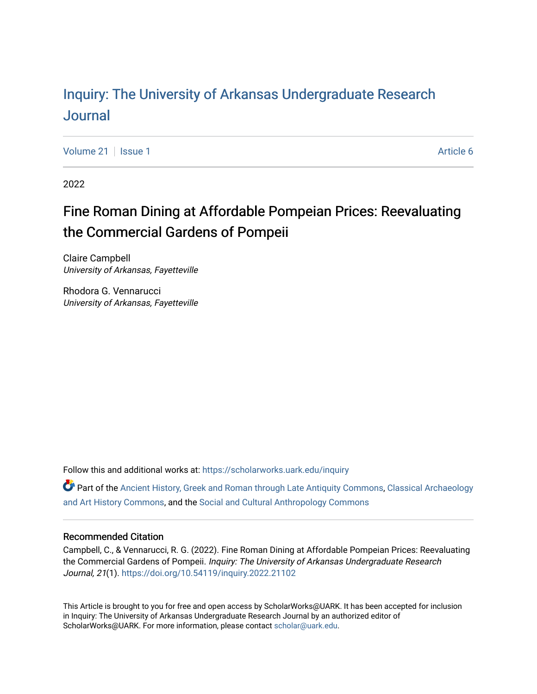# Inquiry: The Univ[ersity of Arkansas Undergraduate Resear](https://scholarworks.uark.edu/inquiry)ch [Journal](https://scholarworks.uark.edu/inquiry)

[Volume 21](https://scholarworks.uark.edu/inquiry/vol21) | [Issue 1](https://scholarworks.uark.edu/inquiry/vol21/iss1) Article 6

2022

# Fine Roman Dining at Affordable Pompeian Prices: Reevaluating the Commercial Gardens of Pompeii

Claire Campbell University of Arkansas, Fayetteville

Rhodora G. Vennarucci University of Arkansas, Fayetteville

Follow this and additional works at: [https://scholarworks.uark.edu/inquiry](https://scholarworks.uark.edu/inquiry?utm_source=scholarworks.uark.edu%2Finquiry%2Fvol21%2Fiss1%2F6&utm_medium=PDF&utm_campaign=PDFCoverPages)

Part of the [Ancient History, Greek and Roman through Late Antiquity Commons](http://network.bepress.com/hgg/discipline/447?utm_source=scholarworks.uark.edu%2Finquiry%2Fvol21%2Fiss1%2F6&utm_medium=PDF&utm_campaign=PDFCoverPages), [Classical Archaeology](http://network.bepress.com/hgg/discipline/450?utm_source=scholarworks.uark.edu%2Finquiry%2Fvol21%2Fiss1%2F6&utm_medium=PDF&utm_campaign=PDFCoverPages)  [and Art History Commons](http://network.bepress.com/hgg/discipline/450?utm_source=scholarworks.uark.edu%2Finquiry%2Fvol21%2Fiss1%2F6&utm_medium=PDF&utm_campaign=PDFCoverPages), and the [Social and Cultural Anthropology Commons](http://network.bepress.com/hgg/discipline/323?utm_source=scholarworks.uark.edu%2Finquiry%2Fvol21%2Fiss1%2F6&utm_medium=PDF&utm_campaign=PDFCoverPages) 

#### Recommended Citation

Campbell, C., & Vennarucci, R. G. (2022). Fine Roman Dining at Affordable Pompeian Prices: Reevaluating the Commercial Gardens of Pompeii. Inquiry: The University of Arkansas Undergraduate Research Journal, 21(1). <https://doi.org/10.54119/inquiry.2022.21102>

This Article is brought to you for free and open access by ScholarWorks@UARK. It has been accepted for inclusion in Inquiry: The University of Arkansas Undergraduate Research Journal by an authorized editor of ScholarWorks@UARK. For more information, please contact [scholar@uark.edu](mailto:scholar@uark.edu).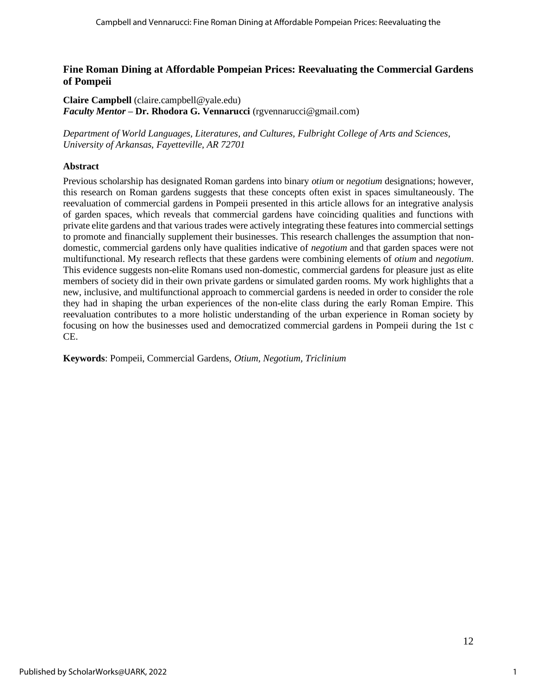## **Fine Roman Dining at Affordable Pompeian Prices: Reevaluating the Commercial Gardens of Pompeii**

**Claire Campbell** (claire.campbell@yale.edu) *Faculty Mentor* **– Dr. Rhodora G. Vennarucci** (rgvennarucci@gmail.com)

*Department of World Languages, Literatures, and Cultures, Fulbright College of Arts and Sciences, University of Arkansas, Fayetteville, AR 72701*

#### **Abstract**

Previous scholarship has designated Roman gardens into binary *otium* or *negotium* designations; however, this research on Roman gardens suggests that these concepts often exist in spaces simultaneously. The reevaluation of commercial gardens in Pompeii presented in this article allows for an integrative analysis of garden spaces, which reveals that commercial gardens have coinciding qualities and functions with private elite gardens and that various trades were actively integrating these features into commercial settings to promote and financially supplement their businesses. This research challenges the assumption that nondomestic, commercial gardens only have qualities indicative of *negotium* and that garden spaces were not multifunctional. My research reflects that these gardens were combining elements of *otium* and *negotium*. This evidence suggests non-elite Romans used non-domestic, commercial gardens for pleasure just as elite members of society did in their own private gardens or simulated garden rooms. My work highlights that a new, inclusive, and multifunctional approach to commercial gardens is needed in order to consider the role they had in shaping the urban experiences of the non-elite class during the early Roman Empire. This reevaluation contributes to a more holistic understanding of the urban experience in Roman society by focusing on how the businesses used and democratized commercial gardens in Pompeii during the 1st c CE.

**Keywords**: Pompeii, Commercial Gardens, *Otium, Negotium, Triclinium*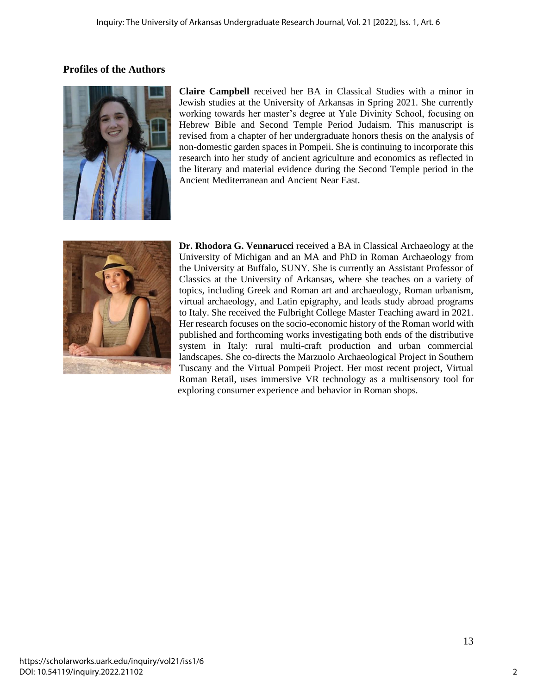# **Profiles of the Authors**



**Claire Campbell** received her BA in Classical Studies with a minor in Jewish studies at the University of Arkansas in Spring 2021. She currently working towards her master's degree at Yale Divinity School, focusing on Hebrew Bible and Second Temple Period Judaism. This manuscript is revised from a chapter of her undergraduate honors thesis on the analysis of non-domestic garden spaces in Pompeii. She is continuing to incorporate this research into her study of ancient agriculture and economics as reflected in the literary and material evidence during the Second Temple period in the Ancient Mediterranean and Ancient Near East.



**Dr. Rhodora G. Vennarucci** received a BA in Classical Archaeology at the University of Michigan and an MA and PhD in Roman Archaeology from the University at Buffalo, SUNY. She is currently an Assistant Professor of Classics at the University of Arkansas, where she teaches on a variety of topics, including Greek and Roman art and archaeology, Roman urbanism, virtual archaeology, and Latin epigraphy, and leads study abroad programs to Italy. She received the Fulbright College Master Teaching award in 2021. Her research focuses on the socio-economic history of the Roman world with published and forthcoming works investigating both ends of the distributive system in Italy: rural multi-craft production and urban commercial landscapes. She co-directs the Marzuolo Archaeological Project in Southern Tuscany and the Virtual Pompeii Project. Her most recent project, Virtual Roman Retail, uses immersive VR technology as a multisensory tool for exploring consumer experience and behavior in Roman shops.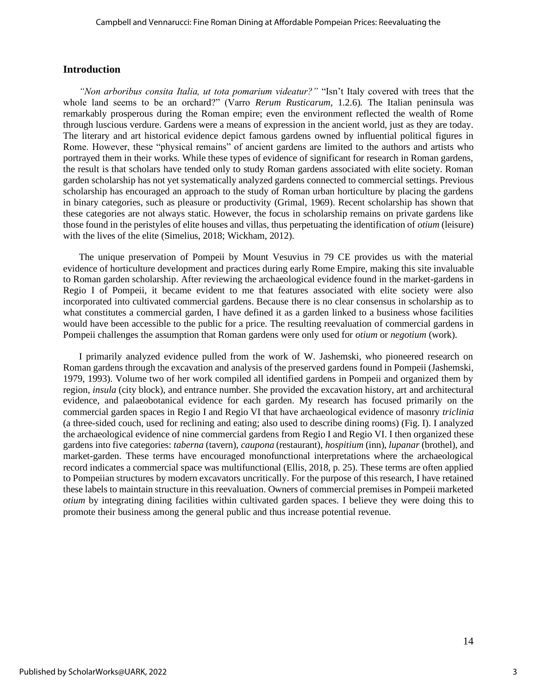#### **Introduction**

*"Non arboribus consita Italia, ut tota pomarium videatur?"* "Isn't Italy covered with trees that the whole land seems to be an orchard?" (Varro *Rerum Rusticarum,* 1.2.6). The Italian peninsula was remarkably prosperous during the Roman empire; even the environment reflected the wealth of Rome through luscious verdure. Gardens were a means of expression in the ancient world, just as they are today. The literary and art historical evidence depict famous gardens owned by influential political figures in Rome. However, these "physical remains" of ancient gardens are limited to the authors and artists who portrayed them in their works. While these types of evidence of significant for research in Roman gardens, the result is that scholars have tended only to study Roman gardens associated with elite society. Roman garden scholarship has not yet systematically analyzed gardens connected to commercial settings. Previous scholarship has encouraged an approach to the study of Roman urban horticulture by placing the gardens in binary categories, such as pleasure or productivity (Grimal, 1969). Recent scholarship has shown that these categories are not always static. However, the focus in scholarship remains on private gardens like those found in the peristyles of elite houses and villas, thus perpetuating the identification of *otium* (leisure) with the lives of the elite (Simelius, 2018; Wickham, 2012).

The unique preservation of Pompeii by Mount Vesuvius in 79 CE provides us with the material evidence of horticulture development and practices during early Rome Empire, making this site invaluable to Roman garden scholarship. After reviewing the archaeological evidence found in the market-gardens in Regio I of Pompeii, it became evident to me that features associated with elite society were also incorporated into cultivated commercial gardens. Because there is no clear consensus in scholarship as to what constitutes a commercial garden, I have defined it as a garden linked to a business whose facilities would have been accessible to the public for a price. The resulting reevaluation of commercial gardens in Pompeii challenges the assumption that Roman gardens were only used for *otium* or *negotium* (work).

I primarily analyzed evidence pulled from the work of W. Jashemski, who pioneered research on Roman gardens through the excavation and analysis of the preserved gardens found in Pompeii (Jashemski, 1979, 1993). Volume two of her work compiled all identified gardens in Pompeii and organized them by region, *insula* (city block), and entrance number. She provided the excavation history, art and architectural evidence, and palaeobotanical evidence for each garden. My research has focused primarily on the commercial garden spaces in Regio I and Regio VI that have archaeological evidence of masonry *triclinia* (a three-sided couch, used for reclining and eating; also used to describe dining rooms) (Fig. I). I analyzed the archaeological evidence of nine commercial gardens from Regio I and Regio VI. I then organized these gardens into five categories: *taberna* (tavern), *caupona* (restaurant), *hospitium* (inn), *lupanar* (brothel), and market-garden. These terms have encouraged monofunctional interpretations where the archaeological record indicates a commercial space was multifunctional (Ellis, 2018, p. 25). These terms are often applied to Pompeiian structures by modern excavators uncritically. For the purpose of this research, I have retained these labels to maintain structure in this reevaluation. Owners of commercial premises in Pompeii marketed *otium* by integrating dining facilities within cultivated garden spaces. I believe they were doing this to promote their business among the general public and thus increase potential revenue.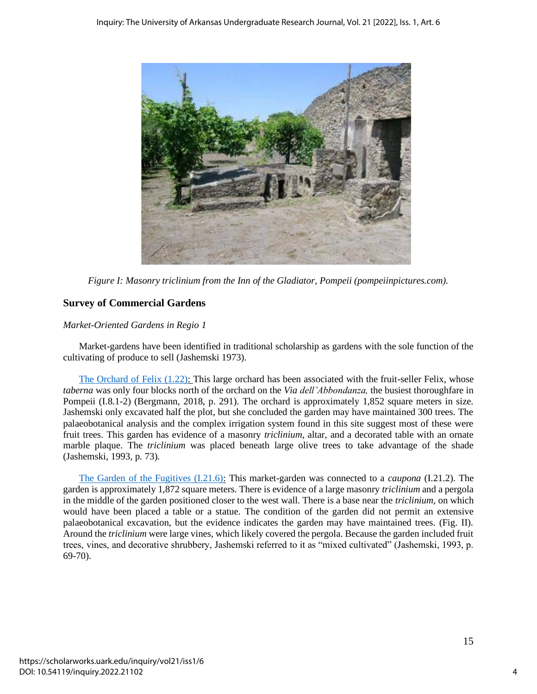

*Figure I: Masonry triclinium from the Inn of the Gladiator, Pompeii (pompeiinpictures.com).*

# **Survey of Commercial Gardens**

### *Market-Oriented Gardens in Regio 1*

Market-gardens have been identified in traditional scholarship as gardens with the sole function of the cultivating of produce to sell (Jashemski 1973).

[The Orchard of Felix \(1.22\):](https://pompeiiinpictures.com/pompeiiinpictures/R1/1%2022%2002.htm) This large orchard has been associated with the fruit-seller Felix, whose *taberna* was only four blocks north of the orchard on the *Via dell'Abbondanza,* the busiest thoroughfare in Pompeii (I.8.1-2) (Bergmann, 2018, p. 291). The orchard is approximately 1,852 square meters in size. Jashemski only excavated half the plot, but she concluded the garden may have maintained 300 trees. The palaeobotanical analysis and the complex irrigation system found in this site suggest most of these were fruit trees. This garden has evidence of a masonry *triclinium*, altar, and a decorated table with an ornate marble plaque. The *triclinium* was placed beneath large olive trees to take advantage of the shade (Jashemski, 1993, p. 73).

[The Garden of the Fugitives \(I.21.6\):](https://pompeiiinpictures.com/pompeiiinpictures/R1/1%2021%2006.htm) This market-garden was connected to a *caupona* (I.21.2). The garden is approximately 1,872 square meters. There is evidence of a large masonry *triclinium* and a pergola in the middle of the garden positioned closer to the west wall. There is a base near the *triclinium,* on which would have been placed a table or a statue. The condition of the garden did not permit an extensive palaeobotanical excavation, but the evidence indicates the garden may have maintained trees. (Fig. II). Around the *triclinium* were large vines, which likely covered the pergola. Because the garden included fruit trees, vines, and decorative shrubbery, Jashemski referred to it as "mixed cultivated" (Jashemski, 1993, p. 69-70).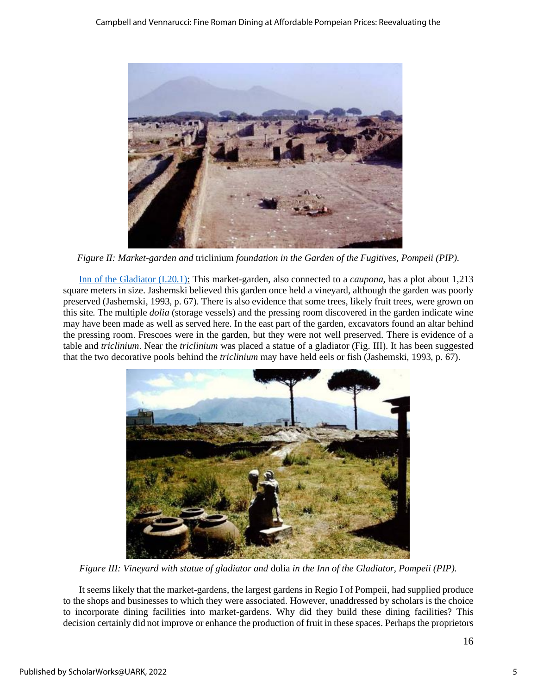

*Figure II: Market-garden and* triclinium *foundation in the Garden of the Fugitives, Pompeii (PIP).*

[Inn of the Gladiator \(I.20.1\):](https://pompeiiinpictures.com/pompeiiinpictures/R1/1%2020%2001.htm) This market-garden, also connected to a *caupona*, has a plot about 1,213 square meters in size. Jashemski believed this garden once held a vineyard, although the garden was poorly preserved (Jashemski, 1993, p. 67). There is also evidence that some trees, likely fruit trees, were grown on this site. The multiple *dolia* (storage vessels) and the pressing room discovered in the garden indicate wine may have been made as well as served here. In the east part of the garden, excavators found an altar behind the pressing room. Frescoes were in the garden, but they were not well preserved. There is evidence of a table and *triclinium*. Near the *triclinium* was placed a statue of a gladiator (Fig. III). It has been suggested that the two decorative pools behind the *triclinium* may have held eels or fish (Jashemski, 1993, p. 67).



*Figure III: Vineyard with statue of gladiator and* dolia *in the Inn of the Gladiator, Pompeii (PIP).*

It seems likely that the market-gardens, the largest gardens in Regio I of Pompeii, had supplied produce to the shops and businesses to which they were associated. However, unaddressed by scholars is the choice to incorporate dining facilities into market-gardens. Why did they build these dining facilities? This decision certainly did not improve or enhance the production of fruit in these spaces. Perhaps the proprietors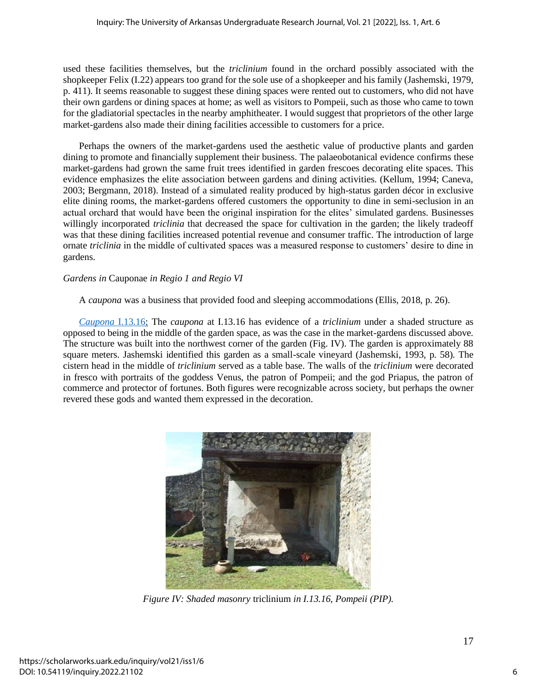used these facilities themselves, but the *triclinium* found in the orchard possibly associated with the shopkeeper Felix (I.22) appears too grand for the sole use of a shopkeeper and his family (Jashemski, 1979, p. 411). It seems reasonable to suggest these dining spaces were rented out to customers, who did not have their own gardens or dining spaces at home; as well as visitors to Pompeii, such as those who came to town for the gladiatorial spectacles in the nearby amphitheater. I would suggest that proprietors of the other large market-gardens also made their dining facilities accessible to customers for a price.

Perhaps the owners of the market-gardens used the aesthetic value of productive plants and garden dining to promote and financially supplement their business. The palaeobotanical evidence confirms these market-gardens had grown the same fruit trees identified in garden frescoes decorating elite spaces. This evidence emphasizes the elite association between gardens and dining activities. (Kellum, 1994; Caneva, 2003; Bergmann, 2018). Instead of a simulated reality produced by high-status garden décor in exclusive elite dining rooms, the market-gardens offered customers the opportunity to dine in semi-seclusion in an actual orchard that would have been the original inspiration for the elites' simulated gardens. Businesses willingly incorporated *triclinia* that decreased the space for cultivation in the garden; the likely tradeoff was that these dining facilities increased potential revenue and consumer traffic. The introduction of large ornate *triclinia* in the middle of cultivated spaces was a measured response to customers' desire to dine in gardens.

#### *Gardens in* Cauponae *in Regio 1 and Regio VI*

A *caupona* was a business that provided food and sleeping accommodations (Ellis, 2018, p. 26).

*[Caupona](https://pompeiiinpictures.com/pompeiiinpictures/R1/1%2013%2016.htm)* I.13.16: The *caupona* at I.13.16 has evidence of a *triclinium* under a shaded structure as opposed to being in the middle of the garden space, as was the case in the market-gardens discussed above*.* The structure was built into the northwest corner of the garden (Fig. IV). The garden is approximately 88 square meters. Jashemski identified this garden as a small-scale vineyard (Jashemski, 1993, p. 58). The cistern head in the middle of *triclinium* served as a table base. The walls of the *triclinium* were decorated in fresco with portraits of the goddess Venus, the patron of Pompeii; and the god Priapus, the patron of commerce and protector of fortunes. Both figures were recognizable across society, but perhaps the owner revered these gods and wanted them expressed in the decoration.



*Figure IV: Shaded masonry* triclinium *in I.13.16, Pompeii (PIP).*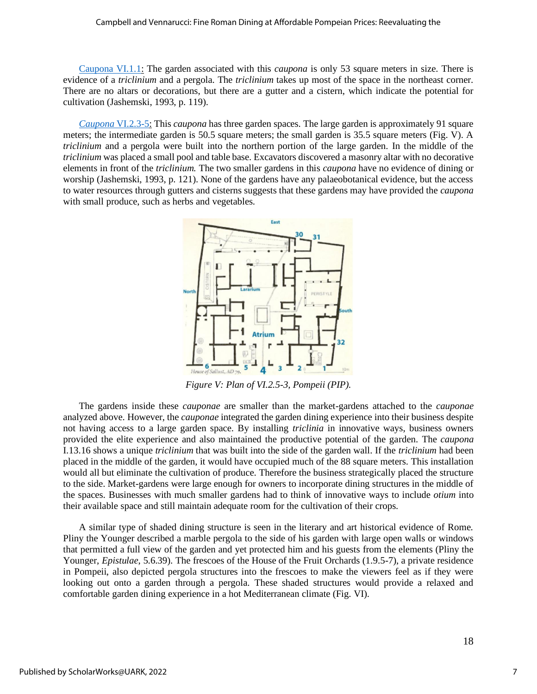#### Campbell and Vennarucci: Fine Roman Dining at Affordable Pompeian Prices: Reevaluating the

[Caupona VI.1.1:](https://pompeiiinpictures.com/pompeiiinpictures/R6/6%2001%2001.htm) The garden associated with this *caupona* is only 53 square meters in size. There is evidence of a *triclinium* and a pergola. The *triclinium* takes up most of the space in the northeast corner. There are no altars or decorations, but there are a gutter and a cistern, which indicate the potential for cultivation (Jashemski, 1993, p. 119).

*[Caupona](https://pompeiiinpictures.com/pompeiiinpictures/R6/6%2002%2005.htm)* VI.2.3-5: This *caupona* has three garden spaces. The large garden is approximately 91 square meters; the intermediate garden is 50.5 square meters; the small garden is 35.5 square meters (Fig. V). A *triclinium* and a pergola were built into the northern portion of the large garden. In the middle of the *triclinium* was placed a small pool and table base. Excavators discovered a masonry altar with no decorative elements in front of the *triclinium.* The two smaller gardens in this *caupona* have no evidence of dining or worship (Jashemski, 1993, p. 121). None of the gardens have any palaeobotanical evidence, but the access to water resources through gutters and cisterns suggests that these gardens may have provided the *caupona* with small produce, such as herbs and vegetables.



*Figure V: Plan of VI.2.5-3, Pompeii (PIP).*

The gardens inside these *cauponae* are smaller than the market-gardens attached to the *cauponae* analyzed above. However, the *cauponae* integrated the garden dining experience into their business despite not having access to a large garden space. By installing *triclinia* in innovative ways, business owners provided the elite experience and also maintained the productive potential of the garden. The *caupona* I.13.16 shows a unique *triclinium* that was built into the side of the garden wall. If the *triclinium* had been placed in the middle of the garden, it would have occupied much of the 88 square meters. This installation would all but eliminate the cultivation of produce. Therefore the business strategically placed the structure to the side. Market-gardens were large enough for owners to incorporate dining structures in the middle of the spaces. Businesses with much smaller gardens had to think of innovative ways to include *otium* into their available space and still maintain adequate room for the cultivation of their crops.

A similar type of shaded dining structure is seen in the literary and art historical evidence of Rome. Pliny the Younger described a marble pergola to the side of his garden with large open walls or windows that permitted a full view of the garden and yet protected him and his guests from the elements (Pliny the Younger, *Epistulae*, 5.6.39). The frescoes of the House of the Fruit Orchards (1.9.5-7), a private residence in Pompeii, also depicted pergola structures into the frescoes to make the viewers feel as if they were looking out onto a garden through a pergola. These shaded structures would provide a relaxed and comfortable garden dining experience in a hot Mediterranean climate (Fig. VI).

7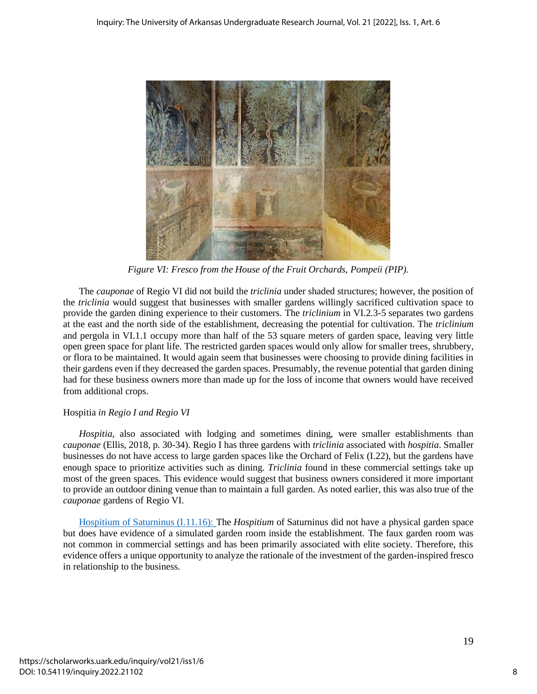

*Figure VI: Fresco from the House of the Fruit Orchards, Pompeii (PIP).*

The *cauponae* of Regio VI did not build the *triclinia* under shaded structures; however, the position of the *triclinia* would suggest that businesses with smaller gardens willingly sacrificed cultivation space to provide the garden dining experience to their customers. The *triclinium* in VI.2.3-5 separates two gardens at the east and the north side of the establishment, decreasing the potential for cultivation. The *triclinium* and pergola in VI.1.1 occupy more than half of the 53 square meters of garden space, leaving very little open green space for plant life. The restricted garden spaces would only allow for smaller trees, shrubbery, or flora to be maintained. It would again seem that businesses were choosing to provide dining facilities in their gardens even if they decreased the garden spaces. Presumably, the revenue potential that garden dining had for these business owners more than made up for the loss of income that owners would have received from additional crops.

## Hospitia *in Regio I and Regio VI*

*Hospitia,* also associated with lodging and sometimes dining, were smaller establishments than *cauponae* (Ellis, 2018, p. 30-34). Regio I has three gardens with *triclinia* associated with *hospitia*. Smaller businesses do not have access to large garden spaces like the Orchard of Felix (I.22), but the gardens have enough space to prioritize activities such as dining. *Triclinia* found in these commercial settings take up most of the green spaces. This evidence would suggest that business owners considered it more important to provide an outdoor dining venue than to maintain a full garden. As noted earlier, this was also true of the *cauponae* gardens of Regio VI.

[Hospitium of Saturninus \(I.11.16\):](https://pompeiiinpictures.com/pompeiiinpictures/R1/1%2011%2016.htm) The *Hospitium* of Saturninus did not have a physical garden space but does have evidence of a simulated garden room inside the establishment*.* The faux garden room was not common in commercial settings and has been primarily associated with elite society. Therefore, this evidence offers a unique opportunity to analyze the rationale of the investment of the garden-inspired fresco in relationship to the business.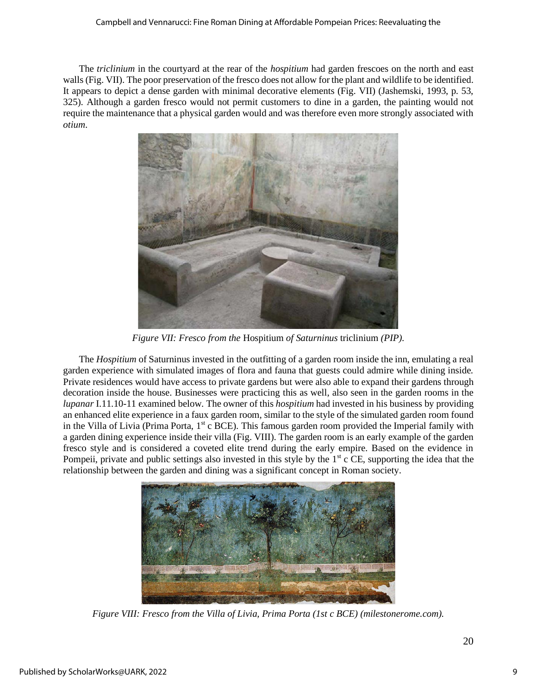The *triclinium* in the courtyard at the rear of the *hospitium* had garden frescoes on the north and east walls (Fig. VII). The poor preservation of the fresco does not allow for the plant and wildlife to be identified. It appears to depict a dense garden with minimal decorative elements (Fig. VII) (Jashemski, 1993, p. 53, 325). Although a garden fresco would not permit customers to dine in a garden, the painting would not require the maintenance that a physical garden would and was therefore even more strongly associated with *otium*.



*Figure VII: Fresco from the* Hospitium *of Saturninus* triclinium *(PIP).*

The *Hospitium* of Saturninus invested in the outfitting of a garden room inside the inn, emulating a real garden experience with simulated images of flora and fauna that guests could admire while dining inside. Private residences would have access to private gardens but were also able to expand their gardens through decoration inside the house. Businesses were practicing this as well, also seen in the garden rooms in the *lupanar* I.11.10-11 examined below. The owner of this *hospitium* had invested in his business by providing an enhanced elite experience in a faux garden room, similar to the style of the simulated garden room found in the Villa of Livia (Prima Porta,  $1<sup>st</sup>$  c BCE). This famous garden room provided the Imperial family with a garden dining experience inside their villa (Fig. VIII). The garden room is an early example of the garden fresco style and is considered a coveted elite trend during the early empire. Based on the evidence in Pompeii, private and public settings also invested in this style by the  $1<sup>st</sup>$  c CE, supporting the idea that the relationship between the garden and dining was a significant concept in Roman society.



*Figure VIII: Fresco from the Villa of Livia, Prima Porta (1st c BCE) (milestonerome.com).*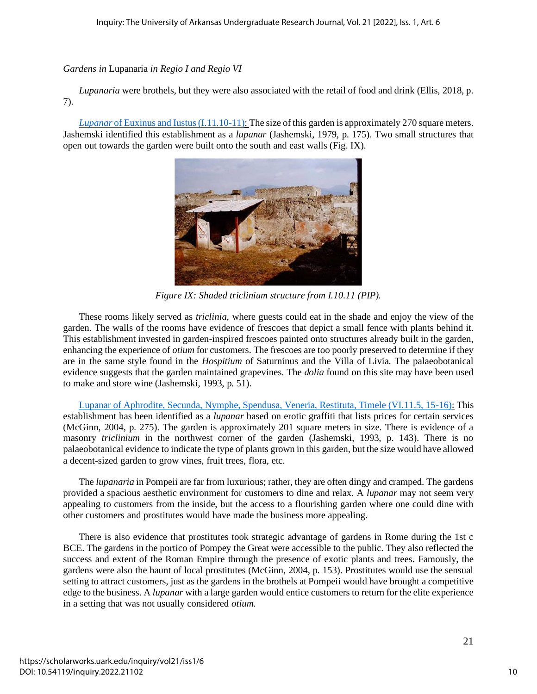### *Gardens in* Lupanaria *in Regio I and Regio VI*

*Lupanaria* were brothels, but they were also associated with the retail of food and drink (Ellis, 2018, p. 7).

*Lupanar* [of Euxinus and Iustus \(I.11.10-11\):](https://pompeiiinpictures.com/pompeiiinpictures/R1/1%2011%2010.htm) The size of this garden is approximately 270 square meters. Jashemski identified this establishment as a *lupanar* (Jashemski, 1979, p. 175). Two small structures that open out towards the garden were built onto the south and east walls (Fig. IX).



*Figure IX: Shaded triclinium structure from I.10.11 (PIP).*

These rooms likely served as *triclinia*, where guests could eat in the shade and enjoy the view of the garden. The walls of the rooms have evidence of frescoes that depict a small fence with plants behind it. This establishment invested in garden-inspired frescoes painted onto structures already built in the garden, enhancing the experience of *otium* for customers. The frescoes are too poorly preserved to determine if they are in the same style found in the *Hospitium* of Saturninus and the Villa of Livia. The palaeobotanical evidence suggests that the garden maintained grapevines. The *dolia* found on this site may have been used to make and store wine (Jashemski, 1993, p. 51).

[Lupanar of Aphrodite, Secunda, Nymphe, Spendusa, Veneria, Restituta, Timele \(VI.11.5, 15-16\):](https://pompeiiinpictures.com/pompeiiinpictures/R6/6%2011%2016.htm) This establishment has been identified as a *lupanar* based on erotic graffiti that lists prices for certain services (McGinn, 2004, p. 275). The garden is approximately 201 square meters in size. There is evidence of a masonry *triclinium* in the northwest corner of the garden (Jashemski, 1993, p. 143). There is no palaeobotanical evidence to indicate the type of plants grown in this garden, but the size would have allowed a decent-sized garden to grow vines, fruit trees, flora, etc.

The *lupanaria* in Pompeii are far from luxurious; rather, they are often dingy and cramped. The gardens provided a spacious aesthetic environment for customers to dine and relax. A *lupanar* may not seem very appealing to customers from the inside, but the access to a flourishing garden where one could dine with other customers and prostitutes would have made the business more appealing.

There is also evidence that prostitutes took strategic advantage of gardens in Rome during the 1st c BCE. The gardens in the portico of Pompey the Great were accessible to the public. They also reflected the success and extent of the Roman Empire through the presence of exotic plants and trees. Famously, the gardens were also the haunt of local prostitutes (McGinn, 2004, p. 153). Prostitutes would use the sensual setting to attract customers, just as the gardens in the brothels at Pompeii would have brought a competitive edge to the business. A *lupanar* with a large garden would entice customers to return for the elite experience in a setting that was not usually considered *otium*.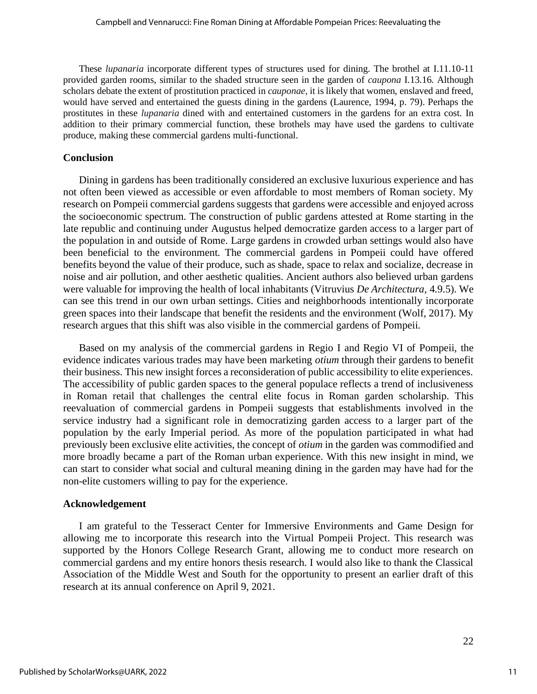These *lupanaria* incorporate different types of structures used for dining. The brothel at I.11.10-11 provided garden rooms, similar to the shaded structure seen in the garden of *caupona* I.13.16. Although scholars debate the extent of prostitution practiced in *cauponae,* it is likely that women, enslaved and freed, would have served and entertained the guests dining in the gardens (Laurence, 1994, p. 79). Perhaps the prostitutes in these *lupanaria* dined with and entertained customers in the gardens for an extra cost. In addition to their primary commercial function, these brothels may have used the gardens to cultivate produce, making these commercial gardens multi-functional.

#### **Conclusion**

Dining in gardens has been traditionally considered an exclusive luxurious experience and has not often been viewed as accessible or even affordable to most members of Roman society. My research on Pompeii commercial gardens suggests that gardens were accessible and enjoyed across the socioeconomic spectrum. The construction of public gardens attested at Rome starting in the late republic and continuing under Augustus helped democratize garden access to a larger part of the population in and outside of Rome. Large gardens in crowded urban settings would also have been beneficial to the environment. The commercial gardens in Pompeii could have offered benefits beyond the value of their produce, such as shade, space to relax and socialize, decrease in noise and air pollution, and other aesthetic qualities. Ancient authors also believed urban gardens were valuable for improving the health of local inhabitants (Vitruvius *De Architectura,* 4.9.5). We can see this trend in our own urban settings. Cities and neighborhoods intentionally incorporate green spaces into their landscape that benefit the residents and the environment (Wolf, 2017). My research argues that this shift was also visible in the commercial gardens of Pompeii.

Based on my analysis of the commercial gardens in Regio I and Regio VI of Pompeii, the evidence indicates various trades may have been marketing *otium* through their gardens to benefit their business. This new insight forces a reconsideration of public accessibility to elite experiences. The accessibility of public garden spaces to the general populace reflects a trend of inclusiveness in Roman retail that challenges the central elite focus in Roman garden scholarship. This reevaluation of commercial gardens in Pompeii suggests that establishments involved in the service industry had a significant role in democratizing garden access to a larger part of the population by the early Imperial period. As more of the population participated in what had previously been exclusive elite activities, the concept of *otium* in the garden was commodified and more broadly became a part of the Roman urban experience. With this new insight in mind, we can start to consider what social and cultural meaning dining in the garden may have had for the non-elite customers willing to pay for the experience.

#### **Acknowledgement**

I am grateful to the Tesseract Center for Immersive Environments and Game Design for allowing me to incorporate this research into the Virtual Pompeii Project. This research was supported by the Honors College Research Grant, allowing me to conduct more research on commercial gardens and my entire honors thesis research. I would also like to thank the Classical Association of the Middle West and South for the opportunity to present an earlier draft of this research at its annual conference on April 9, 2021.

22